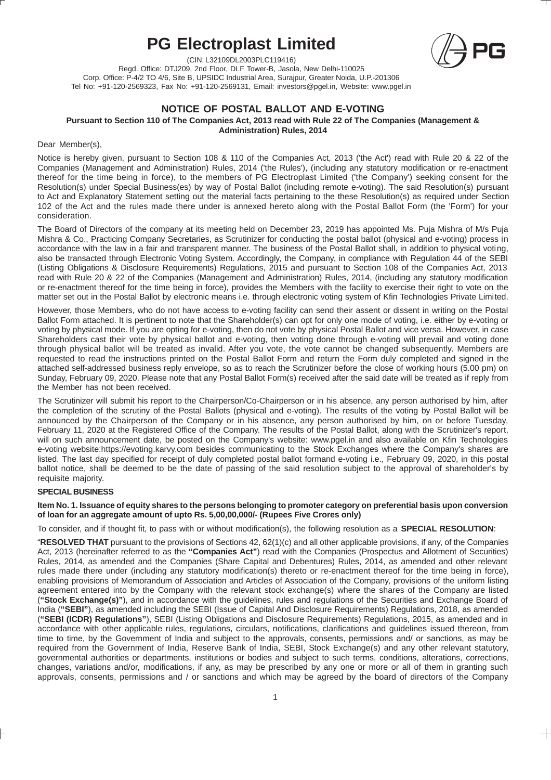# **PG Electroplast Limited**



(CIN: L32109DL2003PLC119416) Regd. Office: DTJ209, 2nd Floor, DLF Tower-B, Jasola, New Delhi-110025 Corp. Office: P-4/2 TO 4/6, Site B, UPSIDC Industrial Area, Surajpur, Greater Noida, U.P.-201306 Tel No: +91-120-2569323, Fax No: +91-120-2569131, Email: investors@pgel.in, Website: www.pgel.in

# **NOTICE OF POSTAL BALLOT AND E-VOTING**

# **Pursuant to Section 110 of The Companies Act, 2013 read with Rule 22 of The Companies (Management &**

**Administration) Rules, 2014**

## Dear Member(s),

Notice is hereby given, pursuant to Section 108 & 110 of the Companies Act, 2013 ('the Act') read with Rule 20 & 22 of the Companies (Management and Administration) Rules, 2014 ('the Rules'), (including any statutory modification or re-enactment thereof for the time being in force), to the members of PG Electroplast Limited ('the Company') seeking consent for the Resolution(s) under Special Business(es) by way of Postal Ballot (including remote e-voting). The said Resolution(s) pursuant to Act and Explanatory Statement setting out the material facts pertaining to the these Resolution(s) as required under Section 102 of the Act and the rules made there under is annexed hereto along with the Postal Ballot Form (the 'Form') for your consideration.

The Board of Directors of the company at its meeting held on December 23, 2019 has appointed Ms. Puja Mishra of M/s Puja Mishra & Co., Practicing Company Secretaries, as Scrutinizer for conducting the postal ballot (physical and e-voting) process in accordance with the law in a fair and transparent manner. The business of the Postal Ballot shall, in addition to physical voting, also be transacted through Electronic Voting System. Accordingly, the Company, in compliance with Regulation 44 of the SEBI (Listing Obligations & Disclosure Requirements) Regulations, 2015 and pursuant to Section 108 of the Companies Act, 2013 read with Rule 20 & 22 of the Companies (Management and Administration) Rules, 2014, (including any statutory modification or re-enactment thereof for the time being in force), provides the Members with the facility to exercise their right to vote on the matter set out in the Postal Ballot by electronic means i.e. through electronic voting system of Kfin Technologies Private Limited.

However, those Members, who do not have access to e-voting facility can send their assent or dissent in writing on the Postal Ballot Form attached. It is pertinent to note that the Shareholder(s) can opt for only one mode of voting, i.e. either by e-voting or voting by physical mode. If you are opting for e-voting, then do not vote by physical Postal Ballot and vice versa. However, in case Shareholders cast their vote by physical ballot and e-voting, then voting done through e-voting will prevail and voting done through physical ballot will be treated as invalid. After you vote, the vote cannot be changed subsequently. Members are requested to read the instructions printed on the Postal Ballot Form and return the Form duly completed and signed in the attached self-addressed business reply envelope, so as to reach the Scrutinizer before the close of working hours (5.00 pm) on Sunday, February 09, 2020. Please note that any Postal Ballot Form(s) received after the said date will be treated as if reply from the Member has not been received.

The Scrutinizer will submit his report to the Chairperson/Co-Chairperson or in his absence, any person authorised by him, after the completion of the scrutiny of the Postal Ballots (physical and e-voting). The results of the voting by Postal Ballot will be announced by the Chairperson of the Company or in his absence, any person authorised by him, on or before Tuesday, February 11, 2020 at the Registered Office of the Company. The results of the Postal Ballot, along with the Scrutinizer's report, will on such announcement date, be posted on the Company's website: www.pgel.in and also available on Kfin Technologies e-voting website:https://evoting.karvy.com besides communicating to the Stock Exchanges where the Company's shares are listed. The last day specified for receipt of duly completed postal ballot formand e-voting i.e., February 09, 2020, in this postal ballot notice, shall be deemed to be the date of passing of the said resolution subject to the approval of shareholder's by requisite majority.

## **SPECIAL BUSINESS**

#### **Item No. 1. Issuance of equity shares to the persons belonging to promoter category on preferential basis upon conversion of loan for an aggregate amount of upto Rs. 5,00,00,000/- (Rupees Five Crores only)**

To consider, and if thought fit, to pass with or without modification(s), the following resolution as a **SPECIAL RESOLUTION**:

"**RESOLVED THAT** pursuant to the provisions of Sections 42, 62(1)(c) and all other applicable provisions, if any, of the Companies Act, 2013 (hereinafter referred to as the **"Companies Act"**) read with the Companies (Prospectus and Allotment of Securities) Rules, 2014, as amended and the Companies (Share Capital and Debentures) Rules, 2014, as amended and other relevant rules made there under (including any statutory modification(s) thereto or re-enactment thereof for the time being in force), enabling provisions of Memorandum of Association and Articles of Association of the Company, provisions of the uniform listing agreement entered into by the Company with the relevant stock exchange(s) where the shares of the Company are listed (**"Stock Exchange(s)"**), and in accordance with the guidelines, rules and regulations of the Securities and Exchange Board of India (**"SEBI"**), as amended including the SEBI (Issue of Capital And Disclosure Requirements) Regulations, 2018, as amended (**"SEBI (ICDR) Regulations"**), SEBI (Listing Obligations and Disclosure Requirements) Regulations, 2015, as amended and in accordance with other applicable rules, regulations, circulars, notifications, clarifications and guidelines issued thereon, from time to time, by the Government of India and subject to the approvals, consents, permissions and/ or sanctions, as may be required from the Government of India, Reserve Bank of India, SEBI, Stock Exchange(s) and any other relevant statutory, governmental authorities or departments, institutions or bodies and subject to such terms, conditions, alterations, corrections, changes, variations and/or, modifications, if any, as may be prescribed by any one or more or all of them in granting such approvals, consents, permissions and / or sanctions and which may be agreed by the board of directors of the Company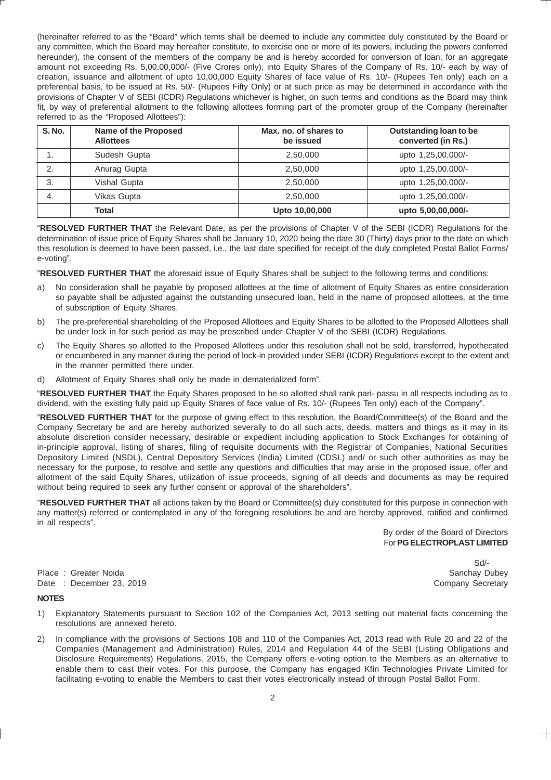(hereinafter referred to as the "Board" which terms shall be deemed to include any committee duly constituted by the Board or any committee, which the Board may hereafter constitute, to exercise one or more of its powers, including the powers conferred hereunder), the consent of the members of the company be and is hereby accorded for conversion of loan, for an aggregate amount not exceeding Rs. 5,00,00,000/- (Five Crores only), into Equity Shares of the Company of Rs. 10/- each by way of creation, issuance and allotment of upto 10,00,000 Equity Shares of face value of Rs. 10/- (Rupees Ten only) each on a preferential basis, to be issued at Rs. 50/- (Rupees Fifty Only) or at such price as may be determined in accordance with the provisions of Chapter V of SEBI (ICDR) Regulations whichever is higher, on such terms and conditions as the Board may think fit, by way of preferential allotment to the following allottees forming part of the promoter group of the Company (hereinafter referred to as the "Proposed Allottees"):

| S. No. | Name of the Proposed<br><b>Allottees</b> | Max. no. of shares to<br>be issued | Outstanding loan to be<br>converted (in Rs.) |
|--------|------------------------------------------|------------------------------------|----------------------------------------------|
| ι.     | Sudesh Gupta                             | 2,50,000                           | upto 1,25,00,000/-                           |
| 2.     | Anurag Gupta                             | 2,50,000                           | upto 1,25,00,000/-                           |
| 3.     | Vishal Gupta                             | 2.50.000                           | upto 1,25,00,000/-                           |
| 4.     | Vikas Gupta                              | 2.50.000                           | upto 1,25,00,000/-                           |
|        | <b>Total</b>                             | Upto 10,00,000                     | upto 5,00,00,000/-                           |

"**RESOLVED FURTHER THAT** the Relevant Date, as per the provisions of Chapter V of the SEBI (ICDR) Regulations for the determination of issue price of Equity Shares shall be January 10, 2020 being the date 30 (Thirty) days prior to the date on which this resolution is deemed to have been passed, i.e., the last date specified for receipt of the duly completed Postal Ballot Forms/ e-voting".

"**RESOLVED FURTHER THAT** the aforesaid issue of Equity Shares shall be subject to the following terms and conditions:

- a) No consideration shall be payable by proposed allottees at the time of allotment of Equity Shares as entire consideration so payable shall be adjusted against the outstanding unsecured loan, held in the name of proposed allottees, at the time of subscription of Equity Shares.
- b) The pre-preferential shareholding of the Proposed Allottees and Equity Shares to be allotted to the Proposed Allottees shall be under lock in for such period as may be prescribed under Chapter V of the SEBI (ICDR) Regulations.
- c) The Equity Shares so allotted to the Proposed Allottees under this resolution shall not be sold, transferred, hypothecated or encumbered in any manner during the period of lock-in provided under SEBI (ICDR) Regulations except to the extent and in the manner permitted there under.
- d) Allotment of Equity Shares shall only be made in dematerialized form".

"**RESOLVED FURTHER THAT** the Equity Shares proposed to be so allotted shall rank pari- passu in all respects including as to dividend, with the existing fully paid up Equity Shares of face value of Rs. 10/- (Rupees Ten only) each of the Company".

"**RESOLVED FURTHER THAT** for the purpose of giving effect to this resolution, the Board/Committee(s) of the Board and the Company Secretary be and are hereby authorized severally to do all such acts, deeds, matters and things as it may in its absolute discretion consider necessary, desirable or expedient including application to Stock Exchanges for obtaining of in-principle approval, listing of shares, filing of requisite documents with the Registrar of Companies, National Securities Depository Limited (NSDL), Central Depository Services (India) Limited (CDSL) and/ or such other authorities as may be necessary for the purpose, to resolve and settle any questions and difficulties that may arise in the proposed issue, offer and allotment of the said Equity Shares, utilization of issue proceeds, signing of all deeds and documents as may be required without being required to seek any further consent or approval of the shareholders".

"**RESOLVED FURTHER THAT** all actions taken by the Board or Committee(s) duly constituted for this purpose in connection with any matter(s) referred or contemplated in any of the foregoing resolutions be and are hereby approved, ratified and confirmed in all respects".

> By order of the Board of Directors For **PG ELECTROPLAST LIMITED**

Place : Greater Noida Date : December 23, 2019 **Date : December 23, 2019** Company Secretary

Sd/-<br>Sanchay Dubey

#### **NOTES**

- 1) Explanatory Statements pursuant to Section 102 of the Companies Act, 2013 setting out material facts concerning the resolutions are annexed hereto.
- 2) In compliance with the provisions of Sections 108 and 110 of the Companies Act, 2013 read with Rule 20 and 22 of the Companies (Management and Administration) Rules, 2014 and Regulation 44 of the SEBI (Listing Obligations and Disclosure Requirements) Regulations, 2015, the Company offers e-voting option to the Members as an alternative to enable them to cast their votes. For this purpose, the Company has engaged Kfin Technologies Private Limited for facilitating e-voting to enable the Members to cast their votes electronically instead of through Postal Ballot Form.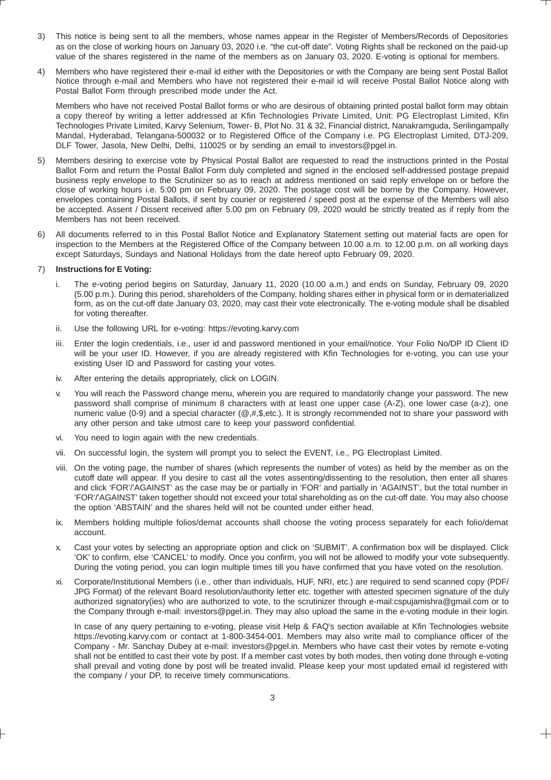- 3) This notice is being sent to all the members, whose names appear in the Register of Members/Records of Depositories as on the close of working hours on January 03, 2020 i.e. "the cut-off date". Voting Rights shall be reckoned on the paid-up value of the shares registered in the name of the members as on January 03, 2020. E-voting is optional for members.
- 4) Members who have registered their e-mail id either with the Depositories or with the Company are being sent Postal Ballot Notice through e-mail and Members who have not registered their e-mail id will receive Postal Ballot Notice along with Postal Ballot Form through prescribed mode under the Act.

Members who have not received Postal Ballot forms or who are desirous of obtaining printed postal ballot form may obtain a copy thereof by writing a letter addressed at Kfin Technologies Private Limited, Unit: PG Electroplast Limited, Kfin Technologies Private Limited, Karvy Selenium, Tower- B, Plot No. 31 & 32, Financial district, Nanakramguda, Serilingampally Mandal, Hyderabad, Telangana-500032 or to Registered Office of the Company i.e. PG Electroplast Limited, DTJ-209, DLF Tower, Jasola, New Delhi, Delhi, 110025 or by sending an email to investors@pgel.in.

- 5) Members desiring to exercise vote by Physical Postal Ballot are requested to read the instructions printed in the Postal Ballot Form and return the Postal Ballot Form duly completed and signed in the enclosed self-addressed postage prepaid business reply envelope to the Scrutinizer so as to reach at address mentioned on said reply envelope on or before the close of working hours i.e. 5:00 pm on February 09, 2020. The postage cost will be borne by the Company. However, envelopes containing Postal Ballots, if sent by courier or registered / speed post at the expense of the Members will also be accepted. Assent / Dissent received after 5.00 pm on February 09, 2020 would be strictly treated as if reply from the Members has not been received.
- 6) All documents referred to in this Postal Ballot Notice and Explanatory Statement setting out material facts are open for inspection to the Members at the Registered Office of the Company between 10.00 a.m. to 12.00 p.m. on all working days except Saturdays, Sundays and National Holidays from the date hereof upto February 09, 2020.

#### 7) **Instructions for E Voting:**

- i. The e-voting period begins on Saturday, January 11, 2020 (10.00 a.m.) and ends on Sunday, February 09, 2020 (5.00 p.m.). During this period, shareholders of the Company, holding shares either in physical form or in dematerialized form, as on the cut-off date January 03, 2020, may cast their vote electronically. The e-voting module shall be disabled for voting thereafter.
- ii. Use the following URL for e-voting: https://evoting.karvy.com
- iii. Enter the login credentials, i.e., user id and password mentioned in your email/notice. Your Folio No/DP ID Client ID will be your user ID. However, if you are already registered with Kfin Technologies for e-voting, you can use your existing User ID and Password for casting your votes.
- iv. After entering the details appropriately, click on LOGIN.
- v. You will reach the Password change menu, wherein you are required to mandatorily change your password. The new password shall comprise of minimum 8 characters with at least one upper case (A-Z), one lower case (a-z), one numeric value (0-9) and a special character ( $@. #$ , \$,etc.). It is strongly recommended not to share your password with any other person and take utmost care to keep your password confidential.
- vi. You need to login again with the new credentials.
- vii. On successful login, the system will prompt you to select the EVENT, i.e., PG Electroplast Limited.
- viii. On the voting page, the number of shares (which represents the number of votes) as held by the member as on the cutoff date will appear. If you desire to cast all the votes assenting/dissenting to the resolution, then enter all shares and click 'FOR'/'AGAINST' as the case may be or partially in 'FOR' and partially in 'AGAINST', but the total number in 'FOR'/'AGAINST' taken together should not exceed your total shareholding as on the cut-off date. You may also choose the option 'ABSTAIN' and the shares held will not be counted under either head.
- ix. Members holding multiple folios/demat accounts shall choose the voting process separately for each folio/demat account.
- x. Cast your votes by selecting an appropriate option and click on 'SUBMIT'. A confirmation box will be displayed. Click 'OK' to confirm, else 'CANCEL' to modify. Once you confirm, you will not be allowed to modify your vote subsequently. During the voting period, you can login multiple times till you have confirmed that you have voted on the resolution.
- xi. Corporate/Institutional Members (i.e., other than individuals, HUF, NRI, etc.) are required to send scanned copy (PDF/ JPG Format) of the relevant Board resolution/authority letter etc. together with attested specimen signature of the duly authorized signatory(ies) who are authorized to vote, to the scrutinizer through e-mail:cspujamishra@gmail.com or to the Company through e-mail: investors@pgel.in. They may also upload the same in the e-voting module in their login.

In case of any query pertaining to e-voting, please visit Help & FAQ's section available at Kfin Technologies website https://evoting.karvy.com or contact at 1-800-3454-001. Members may also write mail to compliance officer of the Company - Mr. Sanchay Dubey at e-mail: investors@pgel.in. Members who have cast their votes by remote e-voting shall not be entitled to cast their vote by post. If a member cast votes by both modes, then voting done through e-voting shall prevail and voting done by post will be treated invalid. Please keep your most updated email id registered with the company / your DP, to receive timely communications.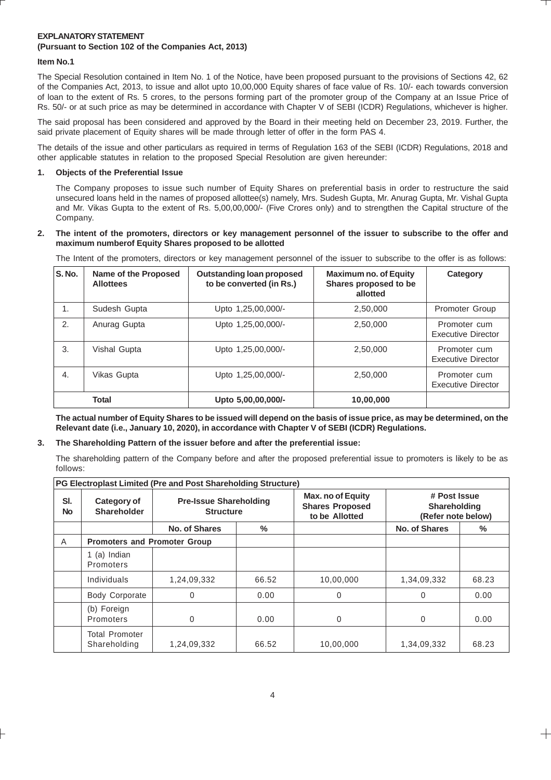# **EXPLANATORY STATEMENT (Pursuant to Section 102 of the Companies Act, 2013)**

# **Item No.1**

The Special Resolution contained in Item No. 1 of the Notice, have been proposed pursuant to the provisions of Sections 42, 62 of the Companies Act, 2013, to issue and allot upto 10,00,000 Equity shares of face value of Rs. 10/- each towards conversion of loan to the extent of Rs. 5 crores, to the persons forming part of the promoter group of the Company at an Issue Price of Rs. 50/- or at such price as may be determined in accordance with Chapter V of SEBI (ICDR) Regulations, whichever is higher.

The said proposal has been considered and approved by the Board in their meeting held on December 23, 2019. Further, the said private placement of Equity shares will be made through letter of offer in the form PAS 4.

The details of the issue and other particulars as required in terms of Regulation 163 of the SEBI (ICDR) Regulations, 2018 and other applicable statutes in relation to the proposed Special Resolution are given hereunder:

## **1. Objects of the Preferential Issue**

The Company proposes to issue such number of Equity Shares on preferential basis in order to restructure the said unsecured loans held in the names of proposed allottee(s) namely, Mrs. Sudesh Gupta, Mr. Anurag Gupta, Mr. Vishal Gupta and Mr. Vikas Gupta to the extent of Rs. 5,00,00,000/- (Five Crores only) and to strengthen the Capital structure of the Company.

#### **2. The intent of the promoters, directors or key management personnel of the issuer to subscribe to the offer and maximum numberof Equity Shares proposed to be allotted**

The Intent of the promoters, directors or key management personnel of the issuer to subscribe to the offer is as follows:

| S. No. | Name of the Proposed<br><b>Allottees</b> | <b>Outstanding loan proposed</b><br>to be converted (in Rs.) | <b>Maximum no. of Equity</b><br>Shares proposed to be<br>allotted | Category                                  |
|--------|------------------------------------------|--------------------------------------------------------------|-------------------------------------------------------------------|-------------------------------------------|
| 1.     | Sudesh Gupta                             | Upto 1,25,00,000/-                                           | 2,50,000                                                          | Promoter Group                            |
| 2.     | Anurag Gupta                             | Upto 1,25,00,000/-                                           | 2,50,000                                                          | Promoter cum<br><b>Executive Director</b> |
| 3.     | Vishal Gupta                             | Upto 1,25,00,000/-                                           | 2,50,000                                                          | Promoter cum<br><b>Executive Director</b> |
| 4.     | Vikas Gupta                              | Upto 1,25,00,000/-                                           | 2,50,000                                                          | Promoter cum<br>Executive Director        |
|        | <b>Total</b>                             | Upto 5,00,00,000/-                                           | 10,00,000                                                         |                                           |

**The actual number of Equity Shares to be issued will depend on the basis of issue price, as may be determined, on the Relevant date (i.e., January 10, 2020), in accordance with Chapter V of SEBI (ICDR) Regulations.**

#### **3. The Shareholding Pattern of the issuer before and after the preferential issue:**

The shareholding pattern of the Company before and after the proposed preferential issue to promoters is likely to be as follows:

| <b>PG Electroplast Limited (Pre and Post Shareholding Structure)</b> |                                       |                                                   |       |                                                               |                                                    |               |  |
|----------------------------------------------------------------------|---------------------------------------|---------------------------------------------------|-------|---------------------------------------------------------------|----------------------------------------------------|---------------|--|
| SI.<br><b>No</b>                                                     | Category of<br><b>Shareholder</b>     | <b>Pre-Issue Shareholding</b><br><b>Structure</b> |       | Max. no of Equity<br><b>Shares Proposed</b><br>to be Allotted | # Post Issue<br>Shareholding<br>(Refer note below) |               |  |
|                                                                      |                                       | No. of Shares                                     | $\%$  |                                                               | <b>No. of Shares</b>                               | $\frac{0}{0}$ |  |
| A                                                                    | <b>Promoters and Promoter Group</b>   |                                                   |       |                                                               |                                                    |               |  |
|                                                                      | 1 (a) Indian<br>Promoters             |                                                   |       |                                                               |                                                    |               |  |
|                                                                      | Individuals                           | 1,24,09,332                                       | 66.52 | 10,00,000                                                     | 1,34,09,332                                        | 68.23         |  |
|                                                                      | <b>Body Corporate</b>                 | 0                                                 | 0.00  | $\Omega$                                                      | 0                                                  | 0.00          |  |
|                                                                      | (b) Foreign<br>Promoters              | $\Omega$                                          | 0.00  | $\Omega$                                                      | $\overline{0}$                                     | 0.00          |  |
|                                                                      | <b>Total Promoter</b><br>Shareholding | 1,24,09,332                                       | 66.52 | 10,00,000                                                     | 1,34,09,332                                        | 68.23         |  |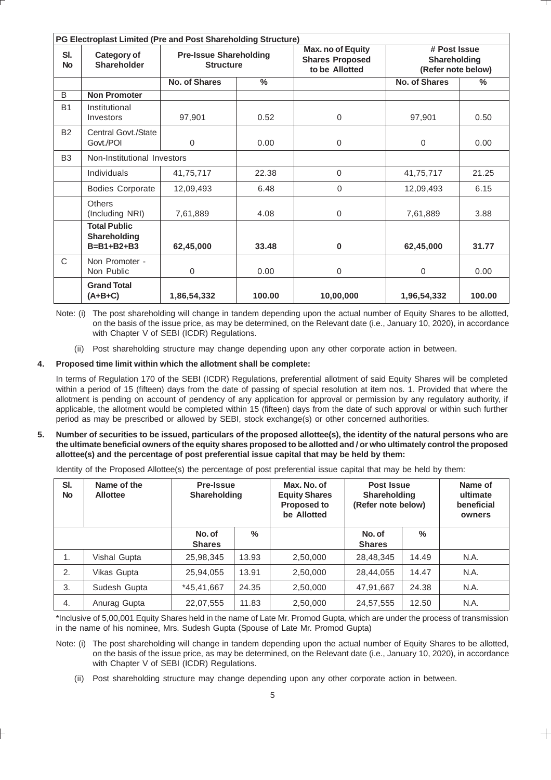| PG Electroplast Limited (Pre and Post Shareholding Structure) |                                                           |                                                   |               |                                                               |                                                           |        |  |
|---------------------------------------------------------------|-----------------------------------------------------------|---------------------------------------------------|---------------|---------------------------------------------------------------|-----------------------------------------------------------|--------|--|
| SI.<br><b>No</b>                                              | Category of<br><b>Shareholder</b>                         | <b>Pre-Issue Shareholding</b><br><b>Structure</b> |               | Max. no of Equity<br><b>Shares Proposed</b><br>to be Allotted | # Post Issue<br><b>Shareholding</b><br>(Refer note below) |        |  |
|                                                               |                                                           | <b>No. of Shares</b>                              | $\frac{0}{0}$ |                                                               | <b>No. of Shares</b>                                      | $\%$   |  |
| B                                                             | <b>Non Promoter</b>                                       |                                                   |               |                                                               |                                                           |        |  |
| <b>B1</b>                                                     | Institutional<br>Investors                                | 97,901                                            | 0.52          | $\mathbf 0$                                                   | 97,901                                                    | 0.50   |  |
| <b>B2</b>                                                     | Central Govt./State<br>Govt./POI                          | 0                                                 | 0.00          | $\mathbf 0$                                                   | 0                                                         | 0.00   |  |
| B <sub>3</sub>                                                |                                                           | Non-Institutional Investors                       |               |                                                               |                                                           |        |  |
|                                                               | Individuals                                               | 41,75,717                                         | 22.38         | $\Omega$                                                      | 41,75,717                                                 | 21.25  |  |
|                                                               | <b>Bodies Corporate</b>                                   | 12,09,493                                         | 6.48          | 0                                                             | 12,09,493                                                 | 6.15   |  |
|                                                               | <b>Others</b><br>(Including NRI)                          | 7,61,889                                          | 4.08          | $\Omega$                                                      | 7,61,889                                                  | 3.88   |  |
|                                                               | <b>Total Public</b><br>Shareholding<br>$B = B1 + B2 + B3$ | 62,45,000                                         | 33.48         | $\bf{0}$                                                      | 62,45,000                                                 | 31.77  |  |
| $\mathsf{C}$                                                  | Non Promoter -<br>Non Public                              | $\mathbf 0$                                       | 0.00          | $\mathbf 0$                                                   | $\mathbf 0$                                               | 0.00   |  |
|                                                               | <b>Grand Total</b><br>$(A+B+C)$                           | 1,86,54,332                                       | 100.00        | 10,00,000                                                     | 1,96,54,332                                               | 100.00 |  |

Note: (i) The post shareholding will change in tandem depending upon the actual number of Equity Shares to be allotted, on the basis of the issue price, as may be determined, on the Relevant date (i.e., January 10, 2020), in accordance with Chapter V of SEBI (ICDR) Regulations.

(ii) Post shareholding structure may change depending upon any other corporate action in between.

# **4. Proposed time limit within which the allotment shall be complete:**

In terms of Regulation 170 of the SEBI (ICDR) Regulations, preferential allotment of said Equity Shares will be completed within a period of 15 (fifteen) days from the date of passing of special resolution at item nos. 1. Provided that where the allotment is pending on account of pendency of any application for approval or permission by any regulatory authority, if applicable, the allotment would be completed within 15 (fifteen) days from the date of such approval or within such further period as may be prescribed or allowed by SEBI, stock exchange(s) or other concerned authorities.

**5. Number of securities to be issued, particulars of the proposed allottee(s), the identity of the natural persons who are the ultimate beneficial owners of the equity shares proposed to be allotted and / or who ultimately control the proposed allottee(s) and the percentage of post preferential issue capital that may be held by them:**

Identity of the Proposed Allottee(s) the percentage of post preferential issue capital that may be held by them:

| SI.<br><b>No</b> | Name of the<br><b>Allottee</b> | <b>Pre-Issue</b><br>Shareholding |               | Max. No. of<br><b>Equity Shares</b><br><b>Proposed to</b><br>be Allotted | Post Issue<br><b>Shareholding</b><br>(Refer note below) |               | Name of<br>ultimate<br>beneficial<br>owners |
|------------------|--------------------------------|----------------------------------|---------------|--------------------------------------------------------------------------|---------------------------------------------------------|---------------|---------------------------------------------|
|                  |                                | No. of<br><b>Shares</b>          | $\frac{0}{0}$ |                                                                          | No. of<br><b>Shares</b>                                 | $\frac{0}{0}$ |                                             |
| 1.               | Vishal Gupta                   | 25,98,345                        | 13.93         | 2,50,000                                                                 | 28,48,345                                               | 14.49         | N.A.                                        |
| 2.               | Vikas Gupta                    | 25,94,055                        | 13.91         | 2,50,000                                                                 | 28,44,055                                               | 14.47         | N.A.                                        |
| 3.               | Sudesh Gupta                   | *45,41,667                       | 24.35         | 2,50,000                                                                 | 47,91,667                                               | 24.38         | N.A.                                        |
| 4.               | Anurag Gupta                   | 22,07,555                        | 11.83         | 2,50,000                                                                 | 24,57,555                                               | 12.50         | N.A.                                        |

\*Inclusive of 5,00,001 Equity Shares held in the name of Late Mr. Promod Gupta, which are under the process of transmission in the name of his nominee, Mrs. Sudesh Gupta (Spouse of Late Mr. Promod Gupta)

- Note: (i) The post shareholding will change in tandem depending upon the actual number of Equity Shares to be allotted, on the basis of the issue price, as may be determined, on the Relevant date (i.e., January 10, 2020), in accordance with Chapter V of SEBI (ICDR) Regulations.
	- (ii) Post shareholding structure may change depending upon any other corporate action in between.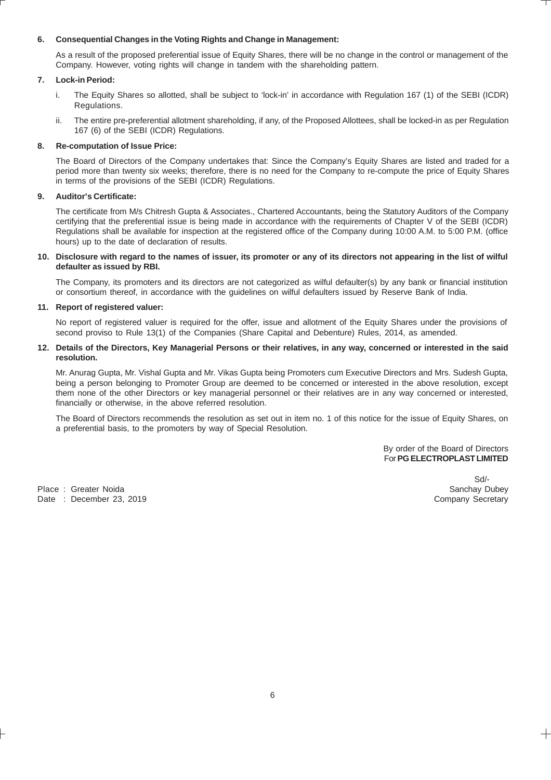# **6. Consequential Changes in the Voting Rights and Change in Management:**

As a result of the proposed preferential issue of Equity Shares, there will be no change in the control or management of the Company. However, voting rights will change in tandem with the shareholding pattern.

# **7. Lock-in Period:**

- i. The Equity Shares so allotted, shall be subject to 'lock-in' in accordance with Regulation 167 (1) of the SEBI (ICDR) Regulations.
- ii. The entire pre-preferential allotment shareholding, if any, of the Proposed Allottees, shall be locked-in as per Regulation 167 (6) of the SEBI (ICDR) Regulations.

# **8. Re-computation of Issue Price:**

The Board of Directors of the Company undertakes that: Since the Company's Equity Shares are listed and traded for a period more than twenty six weeks; therefore, there is no need for the Company to re-compute the price of Equity Shares in terms of the provisions of the SEBI (ICDR) Regulations.

## **9. Auditor's Certificate:**

The certificate from M/s Chitresh Gupta & Associates., Chartered Accountants, being the Statutory Auditors of the Company certifying that the preferential issue is being made in accordance with the requirements of Chapter V of the SEBI (ICDR) Regulations shall be available for inspection at the registered office of the Company during 10:00 A.M. to 5:00 P.M. (office hours) up to the date of declaration of results.

#### **10. Disclosure with regard to the names of issuer, its promoter or any of its directors not appearing in the list of wilful defaulter as issued by RBI.**

The Company, its promoters and its directors are not categorized as wilful defaulter(s) by any bank or financial institution or consortium thereof, in accordance with the guidelines on wilful defaulters issued by Reserve Bank of India.

#### **11. Report of registered valuer:**

No report of registered valuer is required for the offer, issue and allotment of the Equity Shares under the provisions of second proviso to Rule 13(1) of the Companies (Share Capital and Debenture) Rules, 2014, as amended.

#### **12. Details of the Directors, Key Managerial Persons or their relatives, in any way, concerned or interested in the said resolution.**

Mr. Anurag Gupta, Mr. Vishal Gupta and Mr. Vikas Gupta being Promoters cum Executive Directors and Mrs. Sudesh Gupta, being a person belonging to Promoter Group are deemed to be concerned or interested in the above resolution, except them none of the other Directors or key managerial personnel or their relatives are in any way concerned or interested, financially or otherwise, in the above referred resolution.

The Board of Directors recommends the resolution as set out in item no. 1 of this notice for the issue of Equity Shares, on a preferential basis, to the promoters by way of Special Resolution.

# By order of the Board of Directors For **PG ELECTROPLAST LIMITED**

Place : Greater Noida **Sanchay Dubey** Sanchay Dubey Sanchay Dubey Sanchay Dubey Sanchay Dubey Sanchay Dubey Sanchay Dubey Date : December 23, 2019 **Date in the Company Secretary** Company Secretary

Sd/-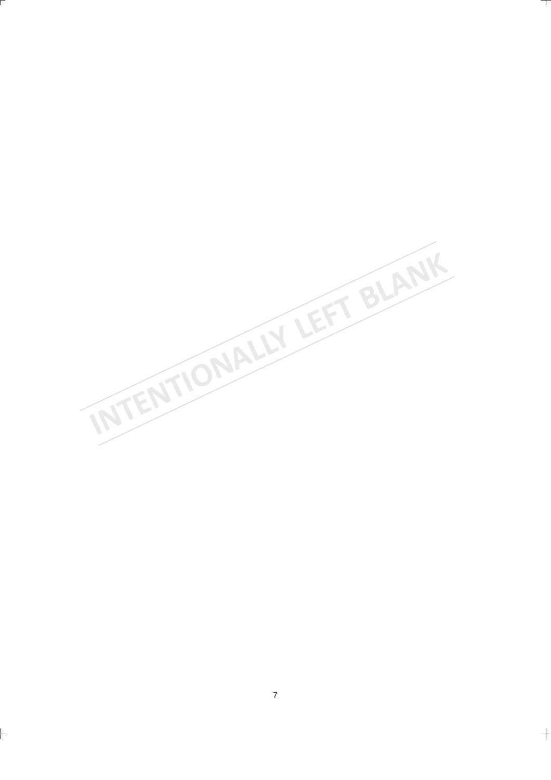INTENTIONALLY LEFT BLANK

T

 $\begin{array}{c} + \end{array}$ 

Г

 $\vdash$